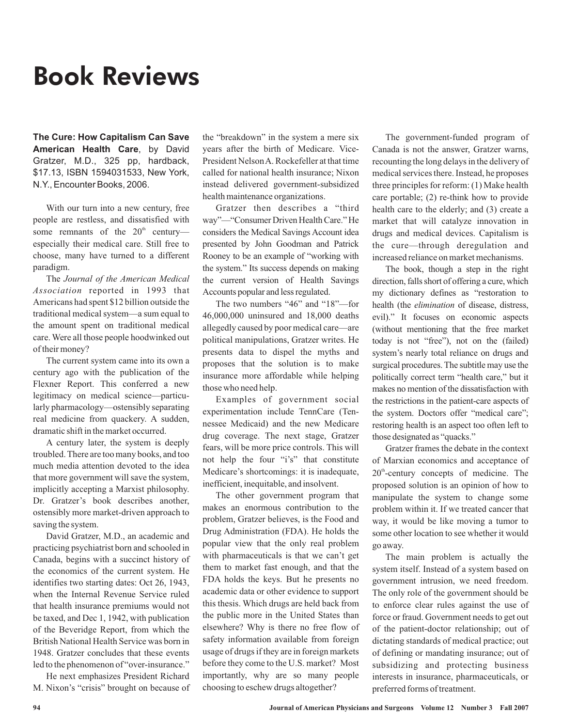## Book Reviews

**The Cure: How Capitalism Can Save American Health Care**, by David Gratzer, M.D., 325 pp, hardback, \$17.13, ISBN 1594031533, New York, N.Y., Encounter Books, 2006.

With our turn into a new century, free people are restless, and dissatisfied with some remnants of the  $20<sup>th</sup>$  century especially their medical care. Still free to choose, many have turned to a different paradigm.

The *Journal of the American Medical* Association reported in 1993 that Americans had spent \$12 billion outside the traditional medical system—a sum equal to the amount spent on traditional medical care. Were all those people hoodwinked out of their money?

The current system came into its own a century ago with the publication of the Flexner Report. This conferred a new legitimacy on medical science—particularly pharmacology—ostensibly separating real medicine from quackery. A sudden, dramatic shift in the market occurred.

A century later, the system is deeply troubled. There are too many books, and too much media attention devoted to the idea that more government will save the system, implicitly accepting a Marxist philosophy. Dr. Gratzer's book describes another, ostensibly more market-driven approach to saving the system.

David Gratzer, M.D., an academic and practicing psychiatrist born and schooled in Canada, begins with a succinct history of the economics of the current system. He identifies two starting dates: Oct 26, 1943, when the Internal Revenue Service ruled that health insurance premiums would not be taxed, and Dec 1, 1942, with publication of the Beveridge Report, from which the British National Health Service was born in 1948. Gratzer concludes that these events led to the phenomenon of "over-insurance."

He next emphasizes President Richard M. Nixon's "crisis" brought on because of the "breakdown" in the system a mere six years after the birth of Medicare. Vice-President NelsonA. Rockefeller at that time called for national health insurance; Nixon instead delivered government-subsidized health maintenance organizations.

Gratzer then describes a "third way"—"Consumer Driven Health Care." He considers the Medical Savings Account idea presented by John Goodman and Patrick Rooney to be an example of "working with the system." Its success depends on making the current version of Health Savings Accounts popular and less regulated.

The two numbers "46" and "18"—for 46,000,000 uninsured and 18,000 deaths allegedly caused by poor medical care—are political manipulations, Gratzer writes. He presents data to dispel the myths and proposes that the solution is to make insurance more affordable while helping those who need help.

Examples of government social experimentation include TennCare (Tennessee Medicaid) and the new Medicare drug coverage. The next stage, Gratzer fears, will be more price controls. This will not help the four "i's" that constitute Medicare's shortcomings: it is inadequate, inefficient, inequitable, and insolvent.

The other government program that makes an enormous contribution to the problem, Gratzer believes, is the Food and Drug Administration (FDA). He holds the popular view that the only real problem with pharmaceuticals is that we can't get them to market fast enough, and that the FDA holds the keys. But he presents no academic data or other evidence to support this thesis. Which drugs are held back from the public more in the United States than elsewhere? Why is there no free flow of safety information available from foreign usage of drugs if they are in foreign markets before they come to the U.S. market? Most importantly, why are so many people choosing to eschew drugs altogether?

The government-funded program of Canada is not the answer, Gratzer warns, recounting the long delays in the delivery of medical services there. Instead, he proposes three principles for reform: (1) Make health care portable; (2) re-think how to provide health care to the elderly; and (3) create a market that will catalyze innovation in drugs and medical devices. Capitalism is the cure—through deregulation and increased reliance on market mechanisms.

The book, though a step in the right direction, falls short of offering a cure, which my dictionary defines as "restoration to health (the *elimination* of disease, distress, evil)." It focuses on economic aspects (without mentioning that the free market today is not "free"), not on the (failed) system's nearly total reliance on drugs and surgical procedures. The subtitle may use the politically correct term "health care," but it makes no mention of the dissatisfaction with the restrictions in the patient-care aspects of the system. Doctors offer "medical care"; restoring health is an aspect too often left to those designated as "quacks."

Gratzer frames the debate in the context of Marxian economics and acceptance of  $20<sup>th</sup>$ -century concepts of medicine. The proposed solution is an opinion of how to manipulate the system to change some problem within it. If we treated cancer that way, it would be like moving a tumor to some other location to see whether it would go away.

The main problem is actually the system itself. Instead of a system based on government intrusion, we need freedom. The only role of the government should be to enforce clear rules against the use of force or fraud. Government needs to get out of the patient-doctor relationship; out of dictating standards of medical practice; out of defining or mandating insurance; out of subsidizing and protecting business interests in insurance, pharmaceuticals, or preferred forms of treatment.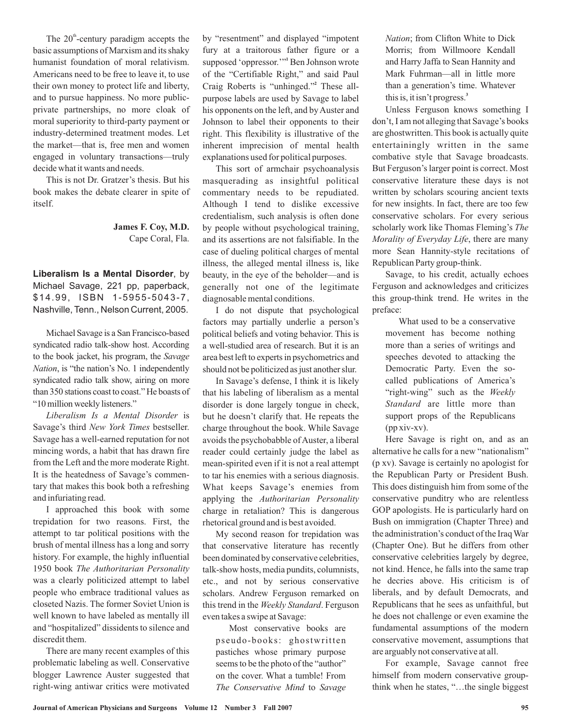The  $20^{\text{th}}$ -century paradigm accepts the basic assumptions of Marxism and its shaky humanist foundation of moral relativism. Americans need to be free to leave it, to use their own money to protect life and liberty, and to pursue happiness. No more publicprivate partnerships, no more cloak of moral superiority to third-party payment or industry-determined treatment modes. Let the market—that is, free men and women engaged in voluntary transactions—truly decide what it wants and needs.

This is not Dr. Gratzer's thesis. But his book makes the debate clearer in spite of itself.

## Cape Coral, Fla. **James F. Coy, M.D.**

**Liberalism Is a Mental Disorder**, by Michael Savage, 221 pp, paperback, \$14.99, ISBN 1-5955-5043-7, Nashville, Tenn., Nelson Current, 2005.

Michael Savage is a San Francisco-based syndicated radio talk-show host. According to the book jacket, his program, the *Savage* , is "the nation's No. 1 independently *Nation* syndicated radio talk show, airing on more than 350 stations coast to coast." He boasts of "10 million weekly listeners."

Liberalism Is a Mental Disorder is Savage's third New York Times bestseller. Savage has a well-earned reputation for not mincing words, a habit that has drawn fire from the Left and the more moderate Right. It is the heatedness of Savage's commentary that makes this book both a refreshing and infuriating read.

I approached this book with some trepidation for two reasons. First, the attempt to tar political positions with the brush of mental illness has a long and sorry history. For example, the highly influential 1950 book *The Authoritarian Personality* was a clearly politicized attempt to label people who embrace traditional values as closeted Nazis. The former Soviet Union is well known to have labeled as mentally ill and "hospitalized" dissidents to silence and discredit them.

There are many recent examples of this problematic labeling as well. Conservative blogger Lawrence Auster suggested that right-wing antiwar critics were motivated by "resentment" and displayed "impotent fury at a traitorous father figure or a supposed 'oppressor."<sup>1</sup> Ben Johnson wrote of the "Certifiable Right," and said Paul Craig Roberts is "unhinged." These all-**2** purpose labels are used by Savage to label his opponents on the left, and by Auster and Johnson to label their opponents to their right. This flexibility is illustrative of the inherent imprecision of mental health explanations used for political purposes.

This sort of armchair psychoanalysis masquerading as insightful political commentary needs to be repudiated. Although I tend to dislike excessive credentialism, such analysis is often done by people without psychological training, and its assertions are not falsifiable. In the case of dueling political charges of mental illness, the alleged mental illness is, like beauty, in the eye of the beholder—and is generally not one of the legitimate diagnosable mental conditions.

I do not dispute that psychological factors may partially underlie a person's political beliefs and voting behavior. This is a well-studied area of research. But it is an area best left to experts in psychometrics and should not be politicized as just another slur.

In Savage's defense, I think it is likely that his labeling of liberalism as a mental disorder is done largely tongue in check, but he doesn't clarify that. He repeats the charge throughout the book. While Savage avoids the psychobabble ofAuster, a liberal reader could certainly judge the label as mean-spirited even if it is not a real attempt to tar his enemies with a serious diagnosis. What keeps Savage's enemies from applying the *Authoritarian Personality* charge in retaliation? This is dangerous rhetorical ground and is best avoided.

My second reason for trepidation was that conservative literature has recently been dominated by conservative celebrities, talk-show hosts, media pundits, columnists, etc., and not by serious conservative scholars. Andrew Ferguson remarked on this trend in the Weekly Standard. Ferguson even takes a swipe at Savage:

Most conservative books are pseudo-books: ghostwritten pastiches whose primary purpose seems to be the photo of the "author" on the cover. What a tumble! From The Conservative Mind to Savage

*Nation* ; from Clifton White to Dick Morris; from Willmoore Kendall and Harry Jaffa to Sean Hannity and Mark Fuhrman—all in little more than a generation's time. Whatever this is, it isn't progress. **3**

scholarly work like Thomas Fleming's The *Morality of Everyday Life* , there are many Unless Ferguson knows something I don't, I am not alleging that Savage's books are ghostwritten. This book is actually quite entertainingly written in the same combative style that Savage broadcasts. But Ferguson's larger point is correct. Most conservative literature these days is not written by scholars scouring ancient texts for new insights. In fact, there are too few conservative scholars. For every serious more Sean Hannity-style recitations of Republican Party group-think.

Savage, to his credit, actually echoes Ferguson and acknowledges and criticizes this group-think trend. He writes in the preface:

"right-wing" such as the Weekly *Standard* are little more than What used to be a conservative movement has become nothing more than a series of writings and speeches devoted to attacking the Democratic Party. Even the socalled publications of America's support props of the Republicans (pp xiv-xv).

Here Savage is right on, and as an alternative he calls for a new "nationalism" (p xv). Savage is certainly no apologist for the Republican Party or President Bush. This does distinguish him from some of the conservative punditry who are relentless GOP apologists. He is particularly hard on Bush on immigration (Chapter Three) and the administration's conduct of the Iraq War (Chapter One). But he differs from other conservative celebrities largely by degree, not kind. Hence, he falls into the same trap he decries above. His criticism is of liberals, and by default Democrats, and Republicans that he sees as unfaithful, but he does not challenge or even examine the fundamental assumptions of the modern conservative movement, assumptions that are arguably not conservative at all.

For example, Savage cannot free himself from modern conservative groupthink when he states, "…the single biggest